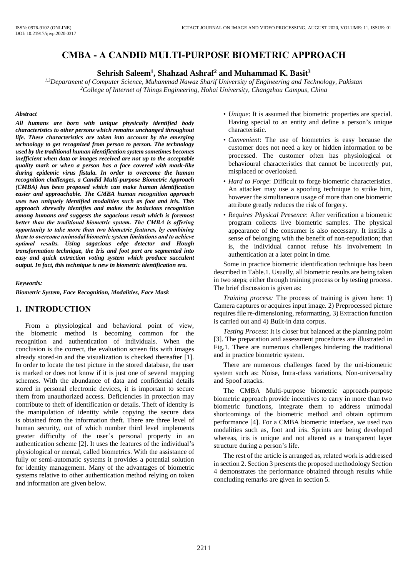# **CMBA - A CANDID MULTI-PURPOSE BIOMETRIC APPROACH**

# **Sehrish Saleem<sup>1</sup> , Shahzad Ashraf<sup>2</sup> and Muhammad K. Basit<sup>3</sup>**

*1,3Department of Computer Science, Muhammad Nawaz Sharif University of Engineering and Technology, Pakistan <sup>2</sup>College of Internet of Things Engineering, Hohai University, Changzhou Campus, China*

#### *Abstract*

*All humans are born with unique physically identified body characteristics to other persons which remains unchanged throughout life. These characteristics are taken into account by the emerging technology to get recognized from person to person. The technology used by the traditional human identification system sometimes becomes inefficient when data or images received are not up to the acceptable quality mark or when a person has a face covered with mask-like during epidemic virus fistula. In order to overcome the human recognition challenges, a Candid Multi-purpose Biometric Approach (CMBA) has been proposed which can make human identification easier and approachable. The CMBA human recognition approach uses two uniquely identified modalities such as foot and iris. This approach shrewdly identifies and makes the bodacious recognition among humans and suggests the sagacious result which is foremost better than the traditional biometric system. The CMBA is offering opportunity to take more than two biometric features, by combining them to overcome unimodal biometric system limitations and to achieve optimal results. Using sagacious edge detector and Hough transformation technique, the Iris and foot part are segmented into easy and quick extraction voting system which produce succulent output. In fact, this technique is new in biometric identification era.*

*Keywords:*

*Biometric System, Face Recognition, Modalities, Face Mask*

### **1. INTRODUCTION**

From a physiological and behavioral point of view, the biometric method is becoming common for the recognition and authentication of individuals. When the conclusion is the correct, the evaluation screen fits with images already stored-in and the visualization is checked thereafter [1]. In order to locate the test picture in the stored database, the user is marked or does not know if it is just one of several mapping schemes. With the abundance of data and confidential details stored in personal electronic devices, it is important to secure them from unauthorized access. Deficiencies in protection may contribute to theft of identification or details. Theft of identity is the manipulation of identity while copying the secure data is obtained from the information theft. There are three level of human security, out of which number third level implements greater difficulty of the user's personal property in an authentication scheme [2]. It uses the features of the individual's physiological or mental, called biometrics. With the assistance of fully or semi-automatic systems it provides a potential solution for identity management. Many of the advantages of biometric systems relative to other authentication method relying on token and information are given below.

- *Unique*: It is assumed that biometric properties are special. Having special to an entity and define a person's unique characteristic.
- *Convenient*: The use of biometrics is easy because the customer does not need a key or hidden information to be processed. The customer often has physiological or behavioural characteristics that cannot be incorrectly put, misplaced or overlooked.
- *Hard to Forge*: Difficult to forge biometric characteristics. An attacker may use a spoofing technique to strike him, however the simultaneous usage of more than one biometric attribute greatly reduces the risk of forgery.
- *Requires Physical Presence*: After verification a biometric program collects live biometric samples. The physical appearance of the consumer is also necessary. It instills a sense of belonging with the benefit of non-repudiation; that is, the individual cannot refuse his involvement in authentication at a later point in time.

Some in practice biometric identification technique has been described in Table.1. Usually, all biometric results are being taken in two steps; either through training process or by testing process. The brief discussion is given as:

*Training process:* The process of training is given here: 1) Camera captures or acquires input image. 2) Preprocessed picture requires file re-dimensioning, reformatting. 3) Extraction function is carried out and 4) Built-in data corpus.

*Testing Process*: It is closer but balanced at the planning point [3]. The preparation and assessment procedures are illustrated in Fig.1. There are numerous challenges hindering the traditional and in practice biometric system.

There are numerous challenges faced by the uni-biometric system such as: Noise, Intra-class variations, Non-universality and Spoof attacks.

The CMBA Multi-purpose biometric approach-purpose biometric approach provide incentives to carry in more than two biometric functions, integrate them to address unimodal shortcomings of the biometric method and obtain optimum performance [4]. For a CMBA biometric interface, we used two modalities such as, foot and iris. Sprints are being developed whereas, iris is unique and not altered as a transparent layer structure during a person's life.

The rest of the article is arranged as, related work is addressed in section 2. Section 3 presents the proposed methodology Section 4 demonstrates the performance obtained through results while concluding remarks are given in section 5.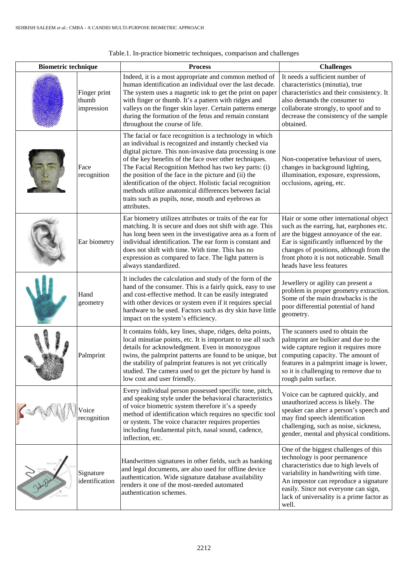| <b>Biometric technique</b> |                                     | <b>Process</b>                                                                                                                                                                                                                                                                                                                                                                                                                                                                                                                                     | <b>Challenges</b>                                                                                                                                                                                                                                                                               |
|----------------------------|-------------------------------------|----------------------------------------------------------------------------------------------------------------------------------------------------------------------------------------------------------------------------------------------------------------------------------------------------------------------------------------------------------------------------------------------------------------------------------------------------------------------------------------------------------------------------------------------------|-------------------------------------------------------------------------------------------------------------------------------------------------------------------------------------------------------------------------------------------------------------------------------------------------|
|                            | Finger print<br>thumb<br>impression | Indeed, it is a most appropriate and common method of<br>human identification an individual over the last decade.<br>The system uses a magnetic ink to get the print on paper<br>with finger or thumb. It's a pattern with ridges and<br>valleys on the finger skin layer. Certain patterns emerge<br>during the formation of the fetus and remain constant<br>throughout the course of life.                                                                                                                                                      | It needs a sufficient number of<br>characteristics (minutia), true<br>characteristics and their consistency. It<br>also demands the consumer to<br>collaborate strongly, to spoof and to<br>decrease the consistency of the sample<br>obtained.                                                 |
|                            | Face<br>recognition                 | The facial or face recognition is a technology in which<br>an individual is recognized and instantly checked via<br>digital picture. This non-invasive data processing is one<br>of the key benefits of the face over other techniques.<br>The Facial Recognition Method has two key parts: (i)<br>the position of the face in the picture and (ii) the<br>identification of the object. Holistic facial recognition<br>methods utilize anatomical differences between facial<br>traits such as pupils, nose, mouth and eyebrows as<br>attributes. | Non-cooperative behaviour of users,<br>changes in background lighting,<br>illumination, exposure, expressions,<br>occlusions, ageing, etc.                                                                                                                                                      |
|                            | Ear biometry                        | Ear biometry utilizes attributes or traits of the ear for<br>matching. It is secure and does not shift with age. This<br>has long been seen in the investigative area as a form of<br>individual identification. The ear form is constant and<br>does not shift with time. With time. This has no<br>expression as compared to face. The light pattern is<br>always standardized.                                                                                                                                                                  | Hair or some other international object<br>such as the earring, hat, earphones etc.<br>are the biggest annoyance of the ear.<br>Ear is significantly influenced by the<br>changes of positions, although from the<br>front photo it is not noticeable. Small<br>heads have less features        |
|                            | Hand<br>geometry                    | It includes the calculation and study of the form of the<br>hand of the consumer. This is a fairly quick, easy to use<br>and cost-effective method. It can be easily integrated<br>with other devices or system even if it requires special<br>hardware to be used. Factors such as dry skin have little<br>impact on the system's efficiency.                                                                                                                                                                                                     | Jewellery or agility can present a<br>problem in proper geometry extraction.<br>Some of the main drawbacks is the<br>poor differential potential of hand<br>geometry.                                                                                                                           |
|                            | Palmprint                           | It contains folds, key lines, shape, ridges, delta points,<br>local minutiae points, etc. It is important to use all such<br>details for acknowledgment. Even in monozygous<br>twins, the palmprint patterns are found to be unique, but<br>the stability of palmprint features is not yet critically<br>studied. The camera used to get the picture by hand is<br>low cost and user friendly.                                                                                                                                                     | The scanners used to obtain the<br>palmprint are bulkier and due to the<br>wide capture region it requires more<br>computing capacity. The amount of<br>features in a palmprint image is lower,<br>so it is challenging to remove due to<br>rough palm surface.                                 |
|                            | <i>V</i> oice<br>recognition        | Every individual person possessed specific tone, pitch,<br>and speaking style under the behavioral characteristics<br>of voice biometric system therefore it's a speedy<br>method of identification which requires no specific tool<br>or system. The voice character requires properties<br>including fundamental pitch, nasal sound, cadence,<br>inflection, etc.                                                                                                                                                                                | Voice can be captured quickly, and<br>unauthorized access is likely. The<br>speaker can alter a person's speech and<br>may find speech identification<br>challenging, such as noise, sickness,<br>gender, mental and physical conditions.                                                       |
|                            | Signature<br>identification         | Handwritten signatures in other fields, such as banking<br>and legal documents, are also used for offline device<br>authentication. Wide signature database availability<br>renders it one of the most-needed automated<br>authentication schemes.                                                                                                                                                                                                                                                                                                 | One of the biggest challenges of this<br>technology is poor permanence<br>characteristics due to high levels of<br>variability in handwriting with time.<br>An impostor can reproduce a signature<br>easily. Since not everyone can sign,<br>lack of universality is a prime factor as<br>well. |

| Table.1. In-practice biometric techniques, comparison and challenges |  |  |  |
|----------------------------------------------------------------------|--|--|--|
|----------------------------------------------------------------------|--|--|--|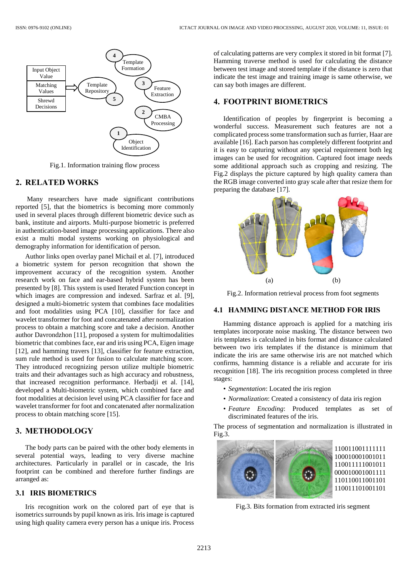

Fig.1. Information training flow process

#### **2. RELATED WORKS**

Many researchers have made significant contributions reported [5], that the biometrics is becoming more commonly used in several places through different biometric device such as bank, institute and airports. Multi-purpose biometric is preferred in authentication-based image processing applications. There also exist a multi modal systems working on physiological and demography information for identification of person.

Author links open overlay panel Michail et al. [7], introduced a biometric system for person recognition that shown the improvement accuracy of the recognition system. Another research work on face and ear-based hybrid system has been presented by [8]. This system is used Iterated Function concept in which images are compression and indexed. Sarfraz et al. [9], designed a multi-biometric system that combines face modalities and foot modalities using PCA [10], classifier for face and wavelet transformer for foot and concatenated after normalization process to obtain a matching score and take a decision. Another author Davrondzhon [11], proposed a system for multimodalities biometric that combines face, ear and iris using PCA, Eigen image [12], and hamming travers [13], classifier for feature extraction, sum rule method is used for fusion to calculate matching score. They introduced recognizing person utilize multiple biometric traits and their advantages such as high accuracy and robustness, that increased recognition performance. Herbadji et al. [14], developed a Multi-biometric system, which combined face and foot modalities at decision level using PCA classifier for face and wavelet transformer for foot and concatenated after normalization process to obtain matching score [15].

### **3. METHODOLOGY**

The body parts can be paired with the other body elements in several potential ways, leading to very diverse machine architectures. Particularly in parallel or in cascade, the Iris footprint can be combined and therefore further findings are arranged as:

# **3.1 IRIS BIOMETRICS**

Iris recognition work on the colored part of eye that is isometrics surrounds by pupil known as iris. Iris image is captured using high quality camera every person has a unique iris. Process

of calculating patterns are very complex it stored in bit format [7]. Hamming traverse method is used for calculating the distance between test image and stored template if the distance is zero that indicate the test image and training image is same otherwise, we can say both images are different.

# **4. FOOTPRINT BIOMETRICS**

Identification of peoples by fingerprint is becoming a wonderful success. Measurement such features are not a complicated process some transformation such as furrier, Haar are available [16]. Each parson has completely different footprint and it is easy to capturing without any special requirement both leg images can be used for recognition. Captured foot image needs some additional approach such as cropping and resizing. The Fig.2 displays the picture captured by high quality camera than the RGB image converted into gray scale after that resize them for preparing the database [17].



Fig.2. Information retrieval process from foot segments

#### **4.1 HAMMING DISTANCE METHOD FOR IRIS**

Hamming distance approach is applied for a matching iris templates incorporate noise masking. The distance between two iris templates is calculated in bits format and distance calculated between two iris templates if the distance is minimum that indicate the iris are same otherwise iris are not matched which confirms, hamming distance is a reliable and accurate for iris recognition [18]. The iris recognition process completed in three stages:

- *Segmentation*: Located the iris region
- *Normalization*: Created a consistency of data iris region
- *Feature Encoding*: Produced templates as set of discriminated features of the iris.

The process of segmentation and normalization is illustrated in Fig.3.



Fig.3. Bits formation from extracted iris segment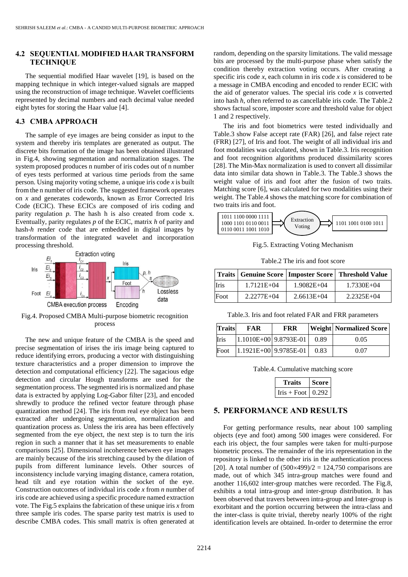#### **4.2 SEQUENTIAL MODIFIED HAAR TRANSFORM TECHNIQUE**

The sequential modified Haar wavelet [19], is based on the mapping technique in which integer-valued signals are mapped using the reconstruction of image technique. Wavelet coefficients represented by decimal numbers and each decimal value needed eight bytes for storing the Haar value [4].

### **4.3 CMBA APPROACH**

The sample of eye images are being consider as input to the system and thereby iris templates are generated as output. The discrete bits formation of the image has been obtained illustrated in Fig.4, showing segmentation and normalization stages. The system proposed produces n number of iris codes out of n number of eyes tests performed at various time periods from the same person. Using majority voting scheme, a unique iris code *x* is built from the n number of iris code. The suggested framework operates on *x* and generates codewords, known as Error Corrected Iris Code (ECIC). These ECICs are composed of iris coding and parity regulation *p*. The hash h is also created from code x. Eventually, parity regulates *p* of the ECIC, matrix *h* of parity and hash-*h* render code that are embedded in digital images by transformation of the integrated wavelet and incorporation processing threshold.



Fig.4. Proposed CMBA Multi-purpose biometric recognition process

The new and unique feature of the CMBA is the speed and precise segmentation of irises the iris image being captured to reduce identifying errors, producing a vector with distinguishing texture characteristics and a proper dimension to improve the detection and computational efficiency [22]. The sagacious edge detection and circular Hough transforms are used for the segmentation process. The segmented iris is normalized and phase data is extracted by applying Log-Gabor filter [23], and encoded shrewdly to produce the refined vector feature through phase quantization method [24]. The iris from real eye object has been extracted after undergoing segmentation, normalization and quantization process as. Unless the iris area has been effectively segmented from the eye object, the next step is to turn the iris region in such a manner that it has set measurements to enable comparisons [25]. Dimensional incoherence between eye images are mainly because of the iris stretching caused by the dilation of pupils from different luminance levels. Other sources of inconsistency include varying imaging distance, camera rotation, head tilt and eye rotation within the socket of the eye. Construction outcomes of individual iris code *x* from *n* number of iris code are achieved using a specific procedure named extraction vote. The Fig.5 explains the fabrication of these unique iris *x* from three sample iris codes. The sparse parity test matrix is used to describe CMBA codes. This small matrix is often generated at random, depending on the sparsity limitations. The valid message bits are processed by the multi-purpose phase when satisfy the condition thereby extraction voting occurs. After creating a specific iris code  $x$ , each column in iris code  $x$  is considered to be a message in CMBA encoding and encoded to render ECIC with the aid of generator values. The special iris code *x* is converted into hash *h*, often referred to as cancellable iris code. The Table.2 shows factual score, imposter score and threshold value for object 1 and 2 respectively.

The iris and foot biometrics were tested individually and Table.3 show False accept rate (FAR) [26], and false reject rate (FRR) [27], of Iris and foot. The weight of all individual iris and foot modalities was calculated, shown in Table.3. Iris recognition and foot recognition algorithms produced dissimilarity scores [28]. The Min-Max normalization is used to convert all dissimilar data into similar data shown in Table.3. The Table.3 shows the weight value of iris and foot after the fusion of two traits. Matching score [6], was calculated for two modalities using their weight. The Table.4 shows the matching score for combination of two traits iris and foot.



Fig.5. Extracting Voting Mechanism

Table.2 The iris and foot score

|              |                |                | Traits   Genuine Score   Imposter Score   Threshold Value |
|--------------|----------------|----------------|-----------------------------------------------------------|
| <b>I</b> ris | $1.7121E + 04$ | $1.9082E + 04$ | $1.7330E + 04$                                            |
| Foot         | $2.2277E + 04$ | $2.6613E+04$   | $2.2325E+04$                                              |

Table.3. Iris and foot related FAR and FRR parameters

| <b>Traits</b> | <b>FAR</b> | <b>FRR</b>              |        | <b>Weight Normalized Score</b> |
|---------------|------------|-------------------------|--------|--------------------------------|
| Iris          |            | $1.1010E+00$ 9.8793E-01 | - 0.89 | 0.05                           |
| Foot          |            | $1.1921E+00$ 9.9785E-01 | 0.83   | 0.07                           |

Table.4. Cumulative matching score

| Traits                          | Score I |
|---------------------------------|---------|
| Iris + Foot $\vert 0.292 \vert$ |         |

### **5. PERFORMANCE AND RESULTS**

For getting performance results, near about 100 sampling objects (eye and foot) among 500 images were considered. For each iris object, the four samples were taken for multi-purpose biometric process. The remainder of the iris representation in the repository is linked to the other iris in the authentication process [20]. A total number of  $(500\times499)/2 = 124,750$  comparisons are made, out of which 345 intra-group matches were found and another 116,602 inter-group matches were recorded. The Fig.8, exhibits a total intra-group and inter-group distribution. It has been observed that travers between intra-group and Inter-group is exorbitant and the portion occurring between the intra-class and the inter-class is quite trivial, thereby nearly 100% of the right identification levels are obtained. In-order to determine the error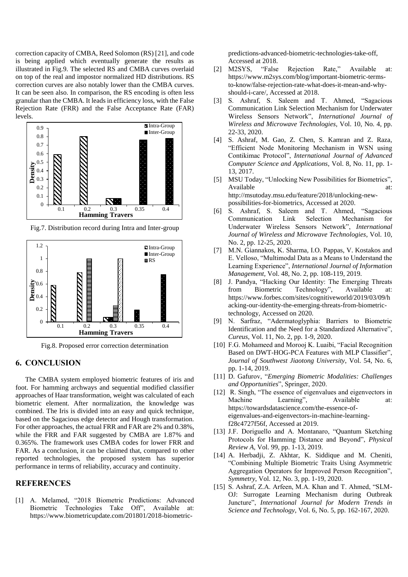correction capacity of CMBA, Reed Solomon (RS) [21], and code is being applied which eventually generate the results as illustrated in Fig.9. The selected RS and CMBA curves overlaid on top of the real and impostor normalized HD distributions. RS correction curves are also notably lower than the CMBA curves. It can be seen also. In comparison, the RS encoding is often less granular than the CMBA. It leads in efficiency loss, with the False Rejection Rate (FRR) and the False Acceptance Rate (FAR) levels.



Fig.7. Distribution record during Intra and Inter-group



Fig.8. Proposed error correction determination

## **6. CONCLUSION**

The CMBA system employed biometric features of iris and foot. For hamming archways and sequential modified classifier approaches of Haar transformation, weight was calculated of each biometric element. After normalization, the knowledge was combined. The Iris is divided into an easy and quick technique, based on the Sagacious edge detector and Hough transformation. For other approaches, the actual FRR and FAR are 2% and 0.38%, while the FRR and FAR suggested by CMBA are 1.87% and 0.365%. The framework uses CMBA codes for lower FRR and FAR. As a conclusion, it can be claimed that, compared to other reported technologies, the proposed system has superior performance in terms of reliability, accuracy and continuity.

### **REFERENCES**

[1] A. Melamed, "2018 Biometric Predictions: Advanced Biometric Technologies Take Off", Available at: https://www.biometricupdate.com/201801/2018-biometricpredictions-advanced-biometric-technologies-take-off, Accessed at 2018.

- [2] M2SYS, "False Rejection Rate," Available at: https://www.m2sys.com/blog/important-biometric-termsto-know/false-rejection-rate-what-does-it-mean-and-whyshould-i-care/, Accessed at 2018.
- [3] S. Ashraf, S. Saleem and T. Ahmed, "Sagacious Communication Link Selection Mechanism for Underwater Wireless Sensors Network", *International Journal of Wireless and Microwave Technologies*, Vol. 10, No. 4, pp. 22-33, 2020.
- [4] S. Ashraf, M. Gao, Z. Chen, S. Kamran and Z. Raza, "Efficient Node Monitoring Mechanism in WSN using Contikimac Protocol", *International Journal of Advanced Computer Science and Applications*, Vol. 8, No. 11, pp. 1- 13, 2017.
- [5] MSU Today, "Unlocking New Possibilities for Biometrics", Available at: http://msutoday.msu.edu/feature/2018/unlocking-newpossibilities-for-biometrics, Accessed at 2020.
- [6] S. Ashraf, S. Saleem and T. Ahmed, "Sagacious Communication Link Selection Mechanism for Underwater Wireless Sensors Network", *International Journal of Wireless and Microwave Technologies*, Vol. 10, No. 2, pp. 12-25, 2020.
- [7] M.N. Giannakos, K. Sharma, I.O. Pappas, V. Kostakos and E. Velloso, "Multimodal Data as a Means to Understand the Learning Experience", *International Journal of Information Management*, Vol. 48, No. 2, pp. 108-119, 2019.
- [8] J. Pandya, "Hacking Our Identity: The Emerging Threats from Biometric Technology", Available at: https://www.forbes.com/sites/cognitiveworld/2019/03/09/h acking-our-identity-the-emerging-threats-from-biometrictechnology, Accessed on 2020.
- [9] N. Sarfraz, "Adermatoglyphia: Barriers to Biometric Identification and the Need for a Standardized Alternative", *Cureus*, Vol. 11, No. 2, pp. 1-9, 2020.
- [10] F.G. Mohameed and Morooj K. Luaibi, "Facial Recognition Based on DWT-HOG-PCA Features with MLP Classifier", *Journal of Southwest Jiaotong University*, Vol. 54, No. 6, pp. 1-14, 2019.
- [11] D. Gafurov, "*Emerging Biometric Modalities: Challenges and Opportunities*", Springer, 2020.
- [12] R. Singh, "The essence of eigenvalues and eigenvectors in Machine Learning", Available at: https://towardsdatascience.com/the-essence-ofeigenvalues-and-eigenvectors-in-machine-learningf28c4727f56f, Accessed at 2019.
- [13] J.F. Doriguello and A. Montanaro, "Quantum Sketching Protocols for Hamming Distance and Beyond", *Physical Review A*, Vol. 99, pp. 1-13, 2019.
- [14] A. Herbadji, Z. Akhtar, K. Siddique and M. Cheniti, "Combining Multiple Biometric Traits Using Asymmetric Aggregation Operators for Improved Person Recognition", *Symmetry*, Vol. 12, No. 3, pp. 1-19, 2020.
- [15] S. Ashraf, Z.A. Arfeen, M.A. Khan and T. Ahmed, "SLM-OJ: Surrogate Learning Mechanism during Outbreak Juncture", *International Journal for Modern Trends in Science and Technology*, Vol. 6, No. 5, pp. 162-167, 2020.